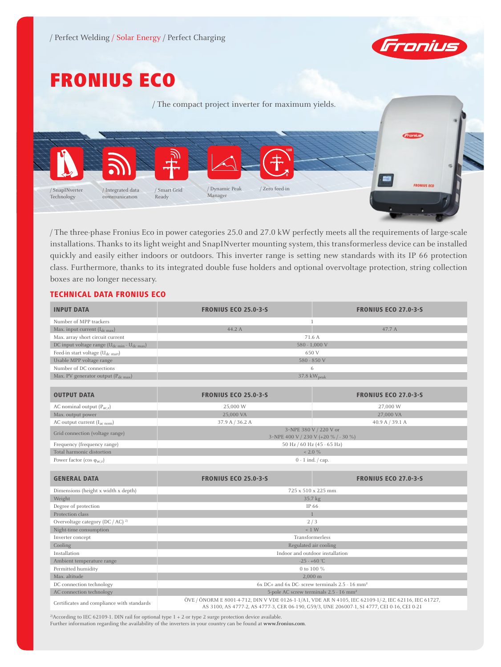

# FRONIUS ECO

/ The compact project inverter for maximum yields. **100 0 BS FRONTUS ECO** / Integrated data / Dynamic Peak / Zero feed-in / Smart Grid / SnapINverter Manager Technology communication Ready

/ The three-phase Fronius Eco in power categories 25.0 and 27.0 kW perfectly meets all the requirements of large-scale installations. Thanks to its light weight and SnapINverter mounting system, this transformerless device can be installed quickly and easily either indoors or outdoors. This inverter range is setting new standards with its IP 66 protection class. Furthermore, thanks to its integrated double fuse holders and optional overvoltage protection, string collection boxes are no longer necessary.

## TECHNICAL DATA FRONIUS ECO

| <b>INPUT DATA</b>                                                   | <b>FRONIUS ECO 25.0-3-S</b>                                                                                                                                                                          | <b>FRONIUS ECO 27.0-3-5</b> |  |
|---------------------------------------------------------------------|------------------------------------------------------------------------------------------------------------------------------------------------------------------------------------------------------|-----------------------------|--|
| Number of MPP trackers                                              |                                                                                                                                                                                                      |                             |  |
| Max. input current $(I_{dc\,max})$                                  | 44.2 A                                                                                                                                                                                               | 47.7 A                      |  |
| Max. array short circuit current                                    | 71.6 A                                                                                                                                                                                               |                             |  |
| DC input voltage range (U <sub>dc min</sub> - U <sub>dc max</sub> ) | 580 - 1,000 V                                                                                                                                                                                        |                             |  |
| Feed-in start voltage $(U_{dc\ start})$                             | 650 V                                                                                                                                                                                                |                             |  |
| Usable MPP voltage range                                            | 580 - 850 V                                                                                                                                                                                          |                             |  |
| Number of DC connections                                            | 6                                                                                                                                                                                                    |                             |  |
| Max. PV generator output (Pdc max)                                  | 37.8 kW <sub>peak</sub>                                                                                                                                                                              |                             |  |
|                                                                     |                                                                                                                                                                                                      |                             |  |
| <b>OUTPUT DATA</b>                                                  | <b>FRONIUS ECO 25.0-3-5</b>                                                                                                                                                                          | <b>FRONIUS ECO 27.0-3-5</b> |  |
| AC nominal output $(P_{acx})$                                       | 25,000 W                                                                                                                                                                                             | 27,000 W                    |  |
| Max. output power                                                   | 25,000 VA                                                                                                                                                                                            | 27,000 VA                   |  |
| AC output current (I <sub>ac nom</sub> )                            | 37.9 A / 36.2 A                                                                                                                                                                                      | 40.9 A $/$ 39.1 A           |  |
| Grid connection (voltage range)                                     | 3~NPE 380 V / 220 V or<br>3~NPE 400 V / 230 V (+20 % / - 30 %)                                                                                                                                       |                             |  |
| Frequency (frequency range)                                         | 50 Hz / 60 Hz (45 - 65 Hz)                                                                                                                                                                           |                             |  |
| Total harmonic distortion                                           | $< 2.0 \%$                                                                                                                                                                                           |                             |  |
| Power factor (cos $\varphi_{ac,r}$ )                                | $0 - 1$ ind. $\frac{1}{2}$ cap.                                                                                                                                                                      |                             |  |
|                                                                     |                                                                                                                                                                                                      |                             |  |
| <b>GENERAL DATA</b>                                                 | <b>FRONIUS ECO 25.0-3-S</b>                                                                                                                                                                          | <b>FRONIUS ECO 27.0-3-5</b> |  |
| Dimensions (height x width x depth)                                 | 725 x 510 x 225 mm                                                                                                                                                                                   |                             |  |
| Weight                                                              | 35.7 kg                                                                                                                                                                                              |                             |  |
| Degree of protection                                                | IP 66                                                                                                                                                                                                |                             |  |
| Protection class                                                    | $\mathbf{1}$                                                                                                                                                                                         |                             |  |
| Overvoltage category (DC / AC) <sup>2)</sup>                        | 2/3                                                                                                                                                                                                  |                             |  |
| Night-time consumption                                              | $-1$ W                                                                                                                                                                                               |                             |  |
| Inverter concept                                                    | Transformerless                                                                                                                                                                                      |                             |  |
| Cooling                                                             | Regulated air cooling                                                                                                                                                                                |                             |  |
| Installation                                                        | Indoor and outdoor installation                                                                                                                                                                      |                             |  |
| Ambient temperature range                                           | $-25 - +60$ °C                                                                                                                                                                                       |                             |  |
| Permitted humidity                                                  | 0 to 100 %                                                                                                                                                                                           |                             |  |
| Max. altitude                                                       | 2.000 m                                                                                                                                                                                              |                             |  |
| DC connection technology                                            | $6x$ DC+ and $6x$ DC- screw terminals 2.5 - 16 mm <sup>2</sup>                                                                                                                                       |                             |  |
| AC connection technology                                            | 5-pole AC screw terminals 2.5 - 16 mm <sup>2</sup>                                                                                                                                                   |                             |  |
| Certificates and compliance with standards                          | ÖVE / ÖNORM E 8001-4-712, DIN V VDE 0126-1-1/A1, VDE AR N 4105, IEC 62109-1/-2, IEC 62116, IEC 61727,<br>AS 3100, AS 4777-2, AS 4777-3, CER 06-190, G59/3, UNE 206007-1, SI 4777, CEI 0-16, CEI 0-21 |                             |  |

<sup>2)</sup>According to IEC 62109-1. DIN rail for optional type  $1 + 2$  or type 2 surge protection device available. Further information regarding the availability of the inverters in your country can be found at **www.fronius.com**.